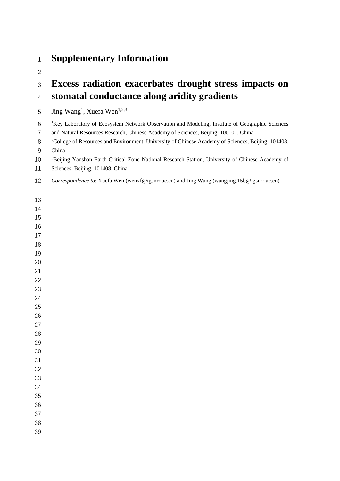## **Supplementary Information**

## **Excess radiation exacerbates drought stress impacts on stomatal conductance along aridity gradients**

5  $\quad$  Jing Wang<sup>1</sup>, Xuefa Wen<sup>1,2,3</sup>

 <sup>1</sup>Key Laboratory of Ecosystem Network Observation and Modeling, Institute of Geographic Sciences

and Natural Resources Research, Chinese Academy of Sciences, Beijing, 100101, China

<sup>2</sup> College of Resources and Environment, University of Chinese Academy of Sciences, Beijing, 101408, China

<sup>3</sup> 3 Beijing Yanshan Earth Critical Zone National Research Station, University of Chinese Academy of

Sciences, Beijing, 101408, China

*Correspondence to*: Xuefa Wen (wenxf@igsnrr.ac.cn) and Jing Wang (wangjing.15b@igsnrr.ac.cn)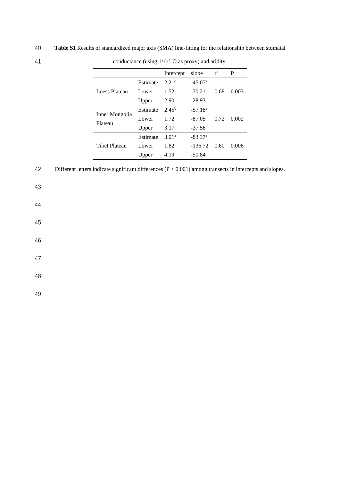40 **Table S1** Results of standardized major axis (SMA) line-fitting for the relationship between stomatal

|          | Intercept         | slope     | $r^2$ | P     |  |
|----------|-------------------|-----------|-------|-------|--|
| Estimate | 2.21c             | $-45.07a$ |       |       |  |
| Lower    | 1.52              | $-70.21$  | 0.68  | 0.003 |  |
| Upper    | 2.90              | $-28.93$  |       |       |  |
| Estimate | $2.45^{b}$        | $-57.18a$ |       | 0.002 |  |
| Lower    | 1.72              | $-87.05$  | 0.72  |       |  |
| Upper    | 3.17              | $-37.56$  |       |       |  |
| Estimate | 3.01 <sup>a</sup> | $-83.37a$ |       |       |  |
| Lower    | 1.82              | $-136.72$ | 0.60  | 0.008 |  |
| Upper    | 4.19              | $-50.84$  |       |       |  |
|          |                   |           |       |       |  |

41 conductance (using  $1/\triangle^{18}$ O as proxy) and aridity.

42 Different letters indicate significant differences (P < 0.001) among transects in intercepts and slopes.

43

44

45

46

47

48

49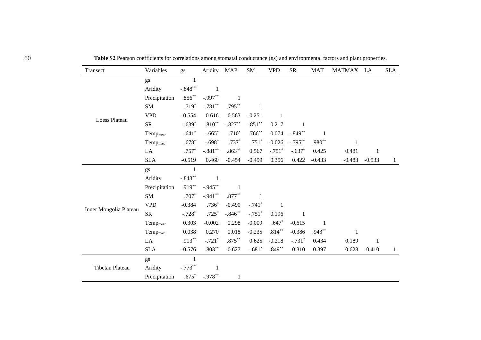| Transect               | Variables            | gs           | Aridity      | <b>MAP</b>   | SM        | <b>VPD</b>   | <b>SR</b>    | <b>MAT</b>   | MATMAX LA    |              | <b>SLA</b>   |
|------------------------|----------------------|--------------|--------------|--------------|-----------|--------------|--------------|--------------|--------------|--------------|--------------|
|                        | gs                   | 1            |              |              |           |              |              |              |              |              |              |
|                        | Aridity              | $-.848**$    | 1            |              |           |              |              |              |              |              |              |
|                        | Precipitation        | $.856**$     | $-.997**$    | $\mathbf{1}$ |           |              |              |              |              |              |              |
|                        | SM                   | $.719*$      | $-.781**$    | $.795***$    | 1         |              |              |              |              |              |              |
| Loess Plateau          | <b>VPD</b>           | $-0.554$     | 0.616        | $-0.563$     | $-0.251$  | 1            |              |              |              |              |              |
|                        | <b>SR</b>            | $-.639*$     | $.810**$     | $-.827**$    | $-.851**$ | 0.217        | -1           |              |              |              |              |
|                        | Temp <sub>mean</sub> | $.641*$      | $-.665*$     | $.710*$      | $.766**$  | 0.074        | $-.849**$    | $\mathbf{1}$ |              |              |              |
|                        | Temp <sub>max</sub>  | $.678*$      | $-.698*$     | $.737*$      | $.751*$   | $-0.026$     | $-.795***$   | $.980**$     | $\mathbf{1}$ |              |              |
|                        | LA                   | $.757*$      | $-.881**$    | $.863**$     | 0.567     | $-.751*$     | $-.637*$     | 0.425        | 0.481        | $\mathbf{1}$ |              |
|                        | <b>SLA</b>           | $-0.519$     | 0.460        | $-0.454$     | $-0.499$  | 0.356        | 0.422        | $-0.433$     | $-0.483$     | $-0.533$     | $\mathbf{1}$ |
|                        | gs                   | $\mathbf{1}$ |              |              |           |              |              |              |              |              |              |
|                        | Aridity              | $-.843**$    | $\mathbf{1}$ |              |           |              |              |              |              |              |              |
|                        | Precipitation        | $.919**$     | $-.945***$   | 1            |           |              |              |              |              |              |              |
|                        | SM                   | $.707*$      | $-.941***$   | $.877**$     | 1         |              |              |              |              |              |              |
|                        | <b>VPD</b>           | $-0.384$     | $.736*$      | $-0.490$     | $-.741*$  | $\mathbf{1}$ |              |              |              |              |              |
| Inner Mongolia Plateau | <b>SR</b>            | $-.728*$     | $.725*$      | $-.846**$    | $-.751*$  | 0.196        | $\mathbf{1}$ |              |              |              |              |
|                        | Temp <sub>mean</sub> | 0.303        | $-0.002$     | 0.298        | $-0.009$  | $.647*$      | $-0.615$     | 1            |              |              |              |
|                        | $Temp_{max}$         | 0.038        | 0.270        | 0.018        | $-0.235$  | $.814***$    | $-0.386$     | $.943**$     | $\mathbf{1}$ |              |              |
|                        | $\rm LA$             | $.913***$    | $-.721*$     | $.875***$    | 0.625     | $-0.218$     | $-.731*$     | 0.434        | 0.189        | $\mathbf{1}$ |              |
|                        | <b>SLA</b>           | $-0.576$     | $.803**$     | $-0.627$     | $-.681*$  | $.849**$     | 0.310        | 0.397        | 0.628        | $-0.410$     | 1            |
| Tibetan Plateau        | gs                   | $\mathbf{1}$ |              |              |           |              |              |              |              |              |              |
|                        | Aridity              | $-.773**$    | 1            |              |           |              |              |              |              |              |              |
|                        | Precipitation        | $.675*$      | $-.978**$    | $\mathbf{1}$ |           |              |              |              |              |              |              |

50 **Table S2** Pearson coefficients for correlations among stomatal conductance (gs) and environmental factors and plant properties.